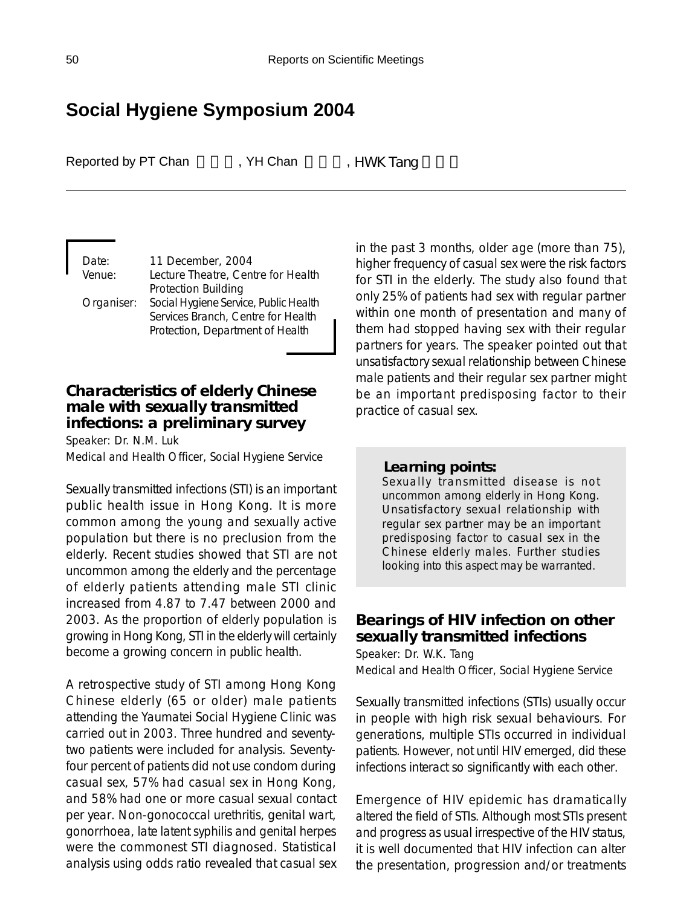# **Social Hygiene Symposium 2004**

Reported by PT Chan FChan FChan FChan FChan Tang

Date: 11 December, 2004 Venue: Lecture Theatre, Centre for Health Protection Building Organiser: Social Hygiene Service, Public Health Services Branch, Centre for Health Protection, Department of Health

## **Characteristics of elderly Chinese male with sexually transmitted infections: a preliminary survey**

Speaker: Dr. N.M. Luk Medical and Health Officer, Social Hygiene Service

Sexually transmitted infections (STI) is an important public health issue in Hong Kong. It is more common among the young and sexually active population but there is no preclusion from the elderly. Recent studies showed that STI are not uncommon among the elderly and the percentage of elderly patients attending male STI clinic increased from 4.87 to 7.47 between 2000 and 2003. As the proportion of elderly population is growing in Hong Kong, STI in the elderly will certainly become a growing concern in public health.

A retrospective study of STI among Hong Kong Chinese elderly (65 or older) male patients attending the Yaumatei Social Hygiene Clinic was carried out in 2003. Three hundred and seventytwo patients were included for analysis. Seventyfour percent of patients did not use condom during casual sex, 57% had casual sex in Hong Kong, and 58% had one or more casual sexual contact per year. Non-gonococcal urethritis, genital wart, gonorrhoea, late latent syphilis and genital herpes were the commonest STI diagnosed. Statistical analysis using odds ratio revealed that casual sex in the past 3 months, older age (more than 75), higher frequency of casual sex were the risk factors for STI in the elderly. The study also found that only 25% of patients had sex with regular partner within one month of presentation and many of them had stopped having sex with their regular partners for years. The speaker pointed out that unsatisfactory sexual relationship between Chinese male patients and their regular sex partner might be an important predisposing factor to their practice of casual sex.

#### *Learning points:*

Sexually transmitted disease is not uncommon among elderly in Hong Kong. Unsatisfactory sexual relationship with regular sex partner may be an important predisposing factor to casual sex in the Chinese elderly males. Further studies looking into this aspect may be warranted.

## **Bearings of HIV infection on other sexually transmitted infections**

Speaker: Dr. W.K. Tang Medical and Health Officer, Social Hygiene Service

Sexually transmitted infections (STIs) usually occur in people with high risk sexual behaviours. For generations, multiple STIs occurred in individual patients. However, not until HIV emerged, did these infections interact so significantly with each other.

Emergence of HIV epidemic has dramatically altered the field of STIs. Although most STIs present and progress as usual irrespective of the HIV status, it is well documented that HIV infection can alter the presentation, progression and/or treatments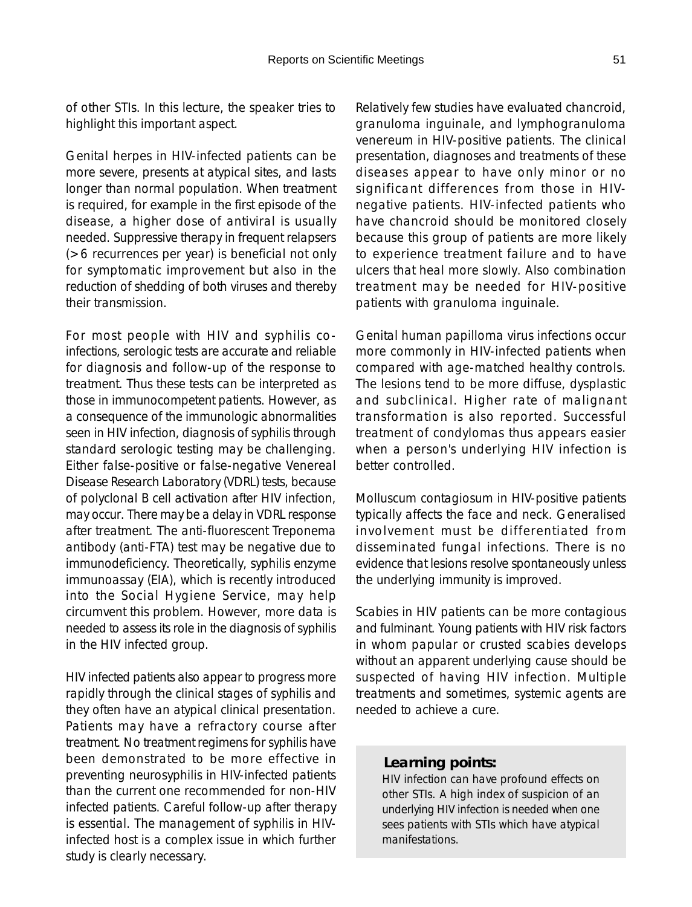of other STIs. In this lecture, the speaker tries to highlight this important aspect.

Genital herpes in HIV-infected patients can be more severe, presents at atypical sites, and lasts longer than normal population. When treatment is required, for example in the first episode of the disease, a higher dose of antiviral is usually needed. Suppressive therapy in frequent relapsers (>6 recurrences per year) is beneficial not only for symptomatic improvement but also in the reduction of shedding of both viruses and thereby their transmission.

For most people with HIV and syphilis coinfections, serologic tests are accurate and reliable for diagnosis and follow-up of the response to treatment. Thus these tests can be interpreted as those in immunocompetent patients. However, as a consequence of the immunologic abnormalities seen in HIV infection, diagnosis of syphilis through standard serologic testing may be challenging. Either false-positive or false-negative Venereal Disease Research Laboratory (VDRL) tests, because of polyclonal B cell activation after HIV infection, may occur. There may be a delay in VDRL response after treatment. The anti-fluorescent Treponema antibody (anti-FTA) test may be negative due to immunodeficiency. Theoretically, syphilis enzyme immunoassay (EIA), which is recently introduced into the Social Hygiene Service, may help circumvent this problem. However, more data is needed to assess its role in the diagnosis of syphilis in the HIV infected group.

HIV infected patients also appear to progress more rapidly through the clinical stages of syphilis and they often have an atypical clinical presentation. Patients may have a refractory course after treatment. No treatment regimens for syphilis have been demonstrated to be more effective in preventing neurosyphilis in HIV-infected patients than the current one recommended for non-HIV infected patients. Careful follow-up after therapy is essential. The management of syphilis in HIVinfected host is a complex issue in which further study is clearly necessary.

Relatively few studies have evaluated chancroid, granuloma inguinale, and lymphogranuloma venereum in HIV-positive patients. The clinical presentation, diagnoses and treatments of these diseases appear to have only minor or no significant differences from those in HIVnegative patients. HIV-infected patients who have chancroid should be monitored closely because this group of patients are more likely to experience treatment failure and to have ulcers that heal more slowly. Also combination treatment may be needed for HIV-positive patients with granuloma inguinale.

Genital human papilloma virus infections occur more commonly in HIV-infected patients when compared with age-matched healthy controls. The lesions tend to be more diffuse, dysplastic and subclinical. Higher rate of malignant transformation is also reported. Successful treatment of condylomas thus appears easier when a person's underlying HIV infection is better controlled.

Molluscum contagiosum in HIV-positive patients typically affects the face and neck. Generalised involvement must be differentiated from disseminated fungal infections. There is no evidence that lesions resolve spontaneously unless the underlying immunity is improved.

Scabies in HIV patients can be more contagious and fulminant. Young patients with HIV risk factors in whom papular or crusted scabies develops without an apparent underlying cause should be suspected of having HIV infection. Multiple treatments and sometimes, systemic agents are needed to achieve a cure.

#### *Learning points:*

HIV infection can have profound effects on other STIs. A high index of suspicion of an underlying HIV infection is needed when one sees patients with STIs which have atypical manifestations.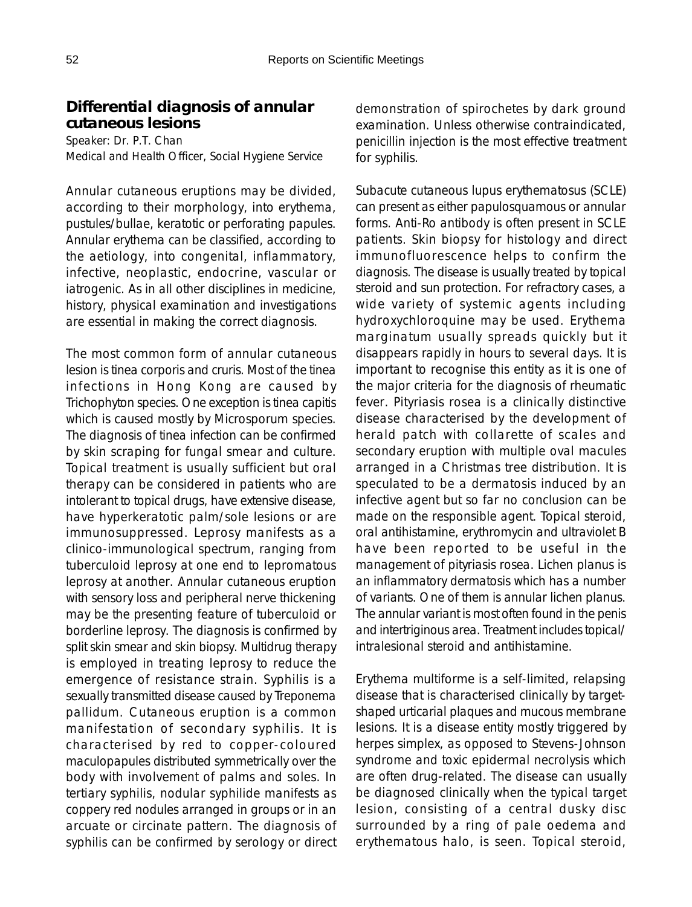# **Differential diagnosis of annular cutaneous lesions**

Speaker: Dr. P.T. Chan Medical and Health Officer, Social Hygiene Service

Annular cutaneous eruptions may be divided, according to their morphology, into erythema, pustules/bullae, keratotic or perforating papules. Annular erythema can be classified, according to the aetiology, into congenital, inflammatory, infective, neoplastic, endocrine, vascular or iatrogenic. As in all other disciplines in medicine, history, physical examination and investigations are essential in making the correct diagnosis.

The most common form of annular cutaneous lesion is tinea corporis and cruris. Most of the tinea infections in Hong Kong are caused by Trichophyton species. One exception is tinea capitis which is caused mostly by Microsporum species. The diagnosis of tinea infection can be confirmed by skin scraping for fungal smear and culture. Topical treatment is usually sufficient but oral therapy can be considered in patients who are intolerant to topical drugs, have extensive disease, have hyperkeratotic palm/sole lesions or are immunosuppressed. Leprosy manifests as a clinico-immunological spectrum, ranging from tuberculoid leprosy at one end to lepromatous leprosy at another. Annular cutaneous eruption with sensory loss and peripheral nerve thickening may be the presenting feature of tuberculoid or borderline leprosy. The diagnosis is confirmed by split skin smear and skin biopsy. Multidrug therapy is employed in treating leprosy to reduce the emergence of resistance strain. Syphilis is a sexually transmitted disease caused by Treponema pallidum. Cutaneous eruption is a common manifestation of secondary syphilis. It is characterised by red to copper-coloured maculopapules distributed symmetrically over the body with involvement of palms and soles. In tertiary syphilis, nodular syphilide manifests as coppery red nodules arranged in groups or in an arcuate or circinate pattern. The diagnosis of syphilis can be confirmed by serology or direct demonstration of spirochetes by dark ground examination. Unless otherwise contraindicated, penicillin injection is the most effective treatment for syphilis.

Subacute cutaneous lupus erythematosus (SCLE) can present as either papulosquamous or annular forms. Anti-Ro antibody is often present in SCLE patients. Skin biopsy for histology and direct immunofluorescence helps to confirm the diagnosis. The disease is usually treated by topical steroid and sun protection. For refractory cases, a wide variety of systemic agents including hydroxychloroquine may be used. Erythema marginatum usually spreads quickly but it disappears rapidly in hours to several days. It is important to recognise this entity as it is one of the major criteria for the diagnosis of rheumatic fever. Pityriasis rosea is a clinically distinctive disease characterised by the development of herald patch with collarette of scales and secondary eruption with multiple oval macules arranged in a Christmas tree distribution. It is speculated to be a dermatosis induced by an infective agent but so far no conclusion can be made on the responsible agent. Topical steroid, oral antihistamine, erythromycin and ultraviolet B have been reported to be useful in the management of pityriasis rosea. Lichen planus is an inflammatory dermatosis which has a number of variants. One of them is annular lichen planus. The annular variant is most often found in the penis and intertriginous area. Treatment includes topical/ intralesional steroid and antihistamine.

Erythema multiforme is a self-limited, relapsing disease that is characterised clinically by targetshaped urticarial plaques and mucous membrane lesions. It is a disease entity mostly triggered by herpes simplex, as opposed to Stevens-Johnson syndrome and toxic epidermal necrolysis which are often drug-related. The disease can usually be diagnosed clinically when the typical target lesion, consisting of a central dusky disc surrounded by a ring of pale oedema and erythematous halo, is seen. Topical steroid,